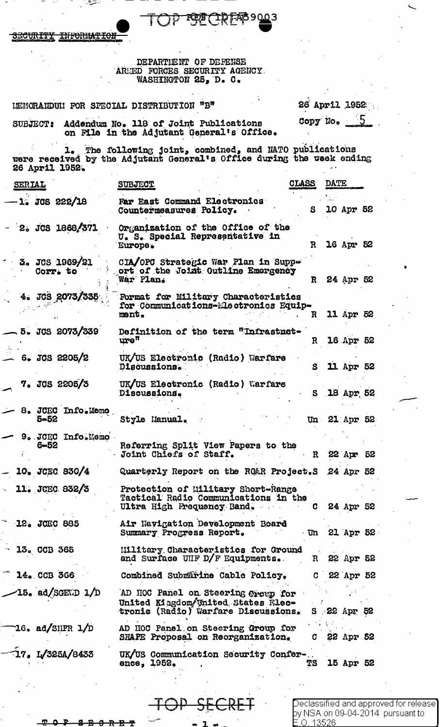JЗ K.

<del>TNFORMAT</del> <del>ICURITY</del>

# DEPARTIENT OF DEFENSE AREED FORCES SECURITY AGENCY.<br>WASHINGTON 25, D. C.

LEMORANDUM FOR SPECIAL DISTRIBUTION "B"

26 April 1952 Copy No.

SUBJECT: Addendum No. 118 of Joint Publications on File in the Adjutant General's Office.

1. The following joint, combined, and NATO publications<br>were received by the Adjutant General's Office during the week ending<br>26 April 1952.

| SERIAL |                               | <b>SUBJECT</b>                                                                                                 | <b>CLADD</b> | <b>DWTT</b> |               |  |
|--------|-------------------------------|----------------------------------------------------------------------------------------------------------------|--------------|-------------|---------------|--|
|        | -1. JCS 222/18                | Far East Command Electronics<br>Countermeasures Policy.                                                        | S            |             | 10 Apr 52     |  |
|        | $-$ 2. JCS 1868/371           | Organization of the Office of the<br>U. S. Special Representative in<br>Europe.                                | $\mathbf R$  |             | 16 Apr 52     |  |
|        | 3. JCS 1969/21<br>Corr. to    | CIA/OPC Strategic War Plan in Suppe<br>ort of the Joint Outline Emergency<br>War Plan.                         | R.           |             | 24 Apr 52     |  |
|        | 4. JCS 2073/335               | Format for Military Characteristics<br>for Communications-Electronics Equip-<br>ment.                          | R            |             | 11 Apr 52     |  |
|        | 5. JCS 2073/339               | Definition of the term "Infrastrct-<br>$\mathbf{ure}^{\mathfrak{m}}$                                           | $\mathbf R$  |             | 16 Apr 52     |  |
|        | $6.$ JCS 2205/2               | UK/US Electronic (Radio) Warfare<br>Discussions.                                                               | S.           |             | 11 Apr 52     |  |
|        | 7. JCS 2205/3                 | UK/US Electronic (Radio) Warfare<br>Discussions.                                                               |              |             | S 18 Apr 52   |  |
|        | 8. JCEC Info.Memo<br>$5 - 52$ | Style Manual.                                                                                                  |              |             | Un 21 Apr 52  |  |
|        | 9. JCEC Info.Memo<br>$6 - 52$ | Referring Split View Papers to the<br>Joint Chiefs of Staff.                                                   | $\mathbf R$  |             | 22 Apr 52     |  |
|        | 10. JCEC 830/4                | Quarterly Report on the RO&R Project.S 24 Apr 52                                                               |              |             |               |  |
|        | 11. JCEC 832/3                | Protection of Military Short-Range<br>Tactical Radio Communications in the<br>Ultra High Frequency Band.       |              |             | 24 Apr 52     |  |
|        | 12. JCEC 885                  | Air Navigation Development Board<br>Summary Progress Report.                                                   |              |             | Un 21 Apr 52  |  |
|        | $-13$ . CCB 365               | <b>Military Characteristics for Ground</b><br>and Surface UHF D/F Equipments.                                  |              |             | R 22 Apr 52   |  |
|        | $-14.$ CCB 366                | Combined Submärine Cable Policy.                                                                               | C.           |             | 22 Apr 52     |  |
|        | $-15$ . ad/SGEND $1/D$        | AD HOC Panel on Steering Open for<br>United Kingdom United States Rlec-<br>tronic (Radio) Warfare Discussions. |              |             | $S$ 22 Apr 52 |  |
|        | 16. ad/SHPR $1/D$             | AD HOC Panel on Steering Group for<br>SHAPE Proposal on Reorganization,                                        | C.           |             | 22 Apr 52     |  |
|        | 17. L/325A/8433               | UK/US Communication Security Confer-<br>ence, 1952.                                                            | TS           |             | 15 Apr 52     |  |
|        |                               |                                                                                                                |              |             |               |  |

 $\bigcirc$ eclassified and approved for release $\bigcirc$ by NSA on 09-04-2014 pursuant to 0.13526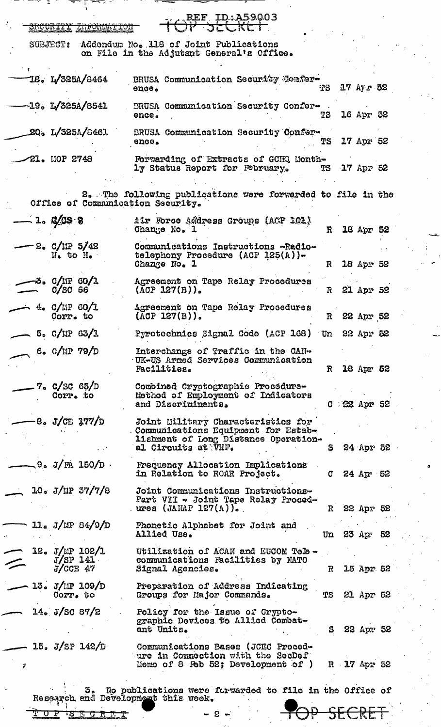| ਿਹਾ ਸਿੰਘ ਵਾਲੇ ਸੰਸਾਰ ਦੇ ਸ਼ਹਿਰ ਸਿੰਘ ਸੀ। ਇਸ ਦੇ ਸ਼ਹਿਰ ਸਿੰਘ ਸੀ। ਇਸ ਦੇ ਸ਼ਹਿਰ ਸਿੰਘ ਸੀ। ਇਸ ਦੇ ਸ਼ਹਿਰ ਸਿੰਘ ਸੀ। ਇਸ ਦੇ ਸ਼ਹ |                                                                                                                                          |              |                 |                |  |
|----------------------------------------------------------------------------------------------------------------|------------------------------------------------------------------------------------------------------------------------------------------|--------------|-----------------|----------------|--|
| SECURITY LUFORMATIO                                                                                            | REF_ID:A59003<br>サーカにしドヒー                                                                                                                |              |                 |                |  |
| <b>SUBJECT:</b>                                                                                                | Addendum No. 118 of Joint Publications<br>on File in the Adjutant General's Office.                                                      |              |                 |                |  |
| 18. L/325A/8464                                                                                                | BRUSA Communication Security Confer-<br>ence.                                                                                            | 73           |                 | $17$ Ay $r$ 52 |  |
| $-19. L/325A/8541$                                                                                             | BRUSA Communication Security Confer-<br>ence.                                                                                            | TS           |                 | 16 Apr 52      |  |
| 20. L/325A/8461                                                                                                | BRUSA Communication Security Confer-<br>enco <sub>o</sub>                                                                                | TS           |                 | 17 Apr 52      |  |
| 21. MOP 2748                                                                                                   | Forwarding of Extracts of GCHQ Month-<br>ly Status Report for February.                                                                  |              | TS 17 Apr 52    |                |  |
| Office of Communication Security.                                                                              | 2. The following publications were forwarded to file in the                                                                              |              |                 |                |  |
| $-1.9$ C/CS 8                                                                                                  | Air Force Address Groups (ACP 101)<br>Change No. 1                                                                                       | $\mathbf{R}$ |                 | 18 Apr 52      |  |
| $-2.$ C/IIP 5/42<br>No to He                                                                                   | Communications Instructions -Radio-<br>telephony Procedure (ACP 125(A))-<br>Change No. 1                                                 | $\mathbf R$  |                 | 18 Apr 52      |  |
| 5. C/IP 60/1<br>$C/SC$ 66                                                                                      | Agreement on Tape Relay Procedures<br>$(\text{ACP } 127(B))$ .                                                                           |              | R 21 Apr 52     |                |  |
| $-$ 4. C/MP 60/1<br>Corr. to                                                                                   | Agreement on Tape Relay Procedures<br>$(ACP 127(B))$ .                                                                                   |              | R 22 Apr 52     |                |  |
| $-$ 5. C/LIP 63/1                                                                                              | Pyrotechnics Signal Code (ACP 168) Un 22 Apr 52                                                                                          |              |                 |                |  |
| 6. $C/11P$ 79/D                                                                                                | Interchange of Traffic in the CAN-<br>UK-US Armed Services Communication<br>Fac111ties.                                                  | $\mathbf{R}$ |                 | 18 Apr 52      |  |
| 7. C/SC 65/D<br>Corr. to                                                                                       | Combined Cryptographic Procedure-<br>Method of Employment of Indicators<br>and Discriminants.                                            |              | $C = 22$ Apr 52 |                |  |
| $-8$ . J/CE 177/D                                                                                              | Joint Military Characteristics for<br>Communications Equipment for Estab-<br>lishment of Long Distance Operation-<br>al Circuits at VHF. | S            |                 | 24 Apr 52      |  |
| $\sim$ 9. J/FA 150/D $\cdot$                                                                                   | Frequency Allocation Implications<br>in Relation to ROAR Project.                                                                        |              | $C$ 24 Apr 52   |                |  |
| 10. J/IP 37/7/8                                                                                                | Joint Communications Instructions-<br>Part VII - Joint Tape Relay Proced-<br>ures (JANAP 127 $(A)$ ).                                    |              | R 22 Apr 52     |                |  |
| $11.5$ J/MP 84/9/D                                                                                             | Phonetic Alphabet for Joint and<br>Allied Use.                                                                                           |              | Un 23 $Ar$ 52   |                |  |
| 12. J/MP 102/1<br>$J/SP$ 141<br>$\!\!\mathrel{{\displaystyle\smile}}$<br>$J/\text{CCE}$ 47                     | Utilization of ACAN and EUCOM Tele -<br>communications Facilities by NATO<br>Signal Agencies.                                            |              | R 15 Apr 52     |                |  |
| 13. J/IP 109/D<br>Corr. to                                                                                     | Preparation of Address Indicating<br>Groups for Major Commands.                                                                          | TS           |                 | 21 Apr 52      |  |
| 14. J/SC 87/2                                                                                                  | Policy for the Issue of Crypto-<br>graphic Devices to Allied Combat-<br>ant Units.                                                       | S.           |                 | 22 Apr 52      |  |
| 15. J/SP 142/D<br>\$                                                                                           | Communications Bases (JCEC Proced-<br>ure in Commection with the SecDef<br>Momo of 8 Feb 52; Development of $)$                          |              | R 17 Apr 52     |                |  |
| 3.<br>Research and Development this week.                                                                      | No publications were forwarded to file in the Office of                                                                                  |              |                 |                |  |
| <u>IS E O R F T</u><br>r.                                                                                      | $2 \kappa$                                                                                                                               |              |                 |                |  |
|                                                                                                                |                                                                                                                                          |              |                 |                |  |

ina.<br>K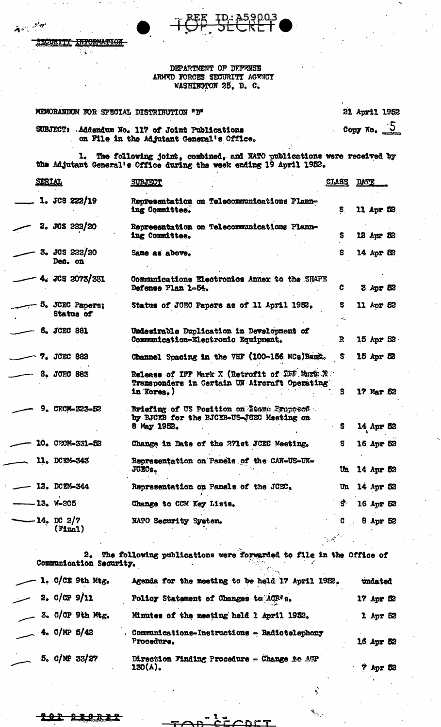**JURITY** INFORMATION ÷.

جأوب وتبع

### DEPARTMENT OF DEFENSE ARMED FORCES SECURITY AGENCY WASHINGTON 25, D. C.

| MEMORANDUM FOR SPECIAL DISTRIBUTION "B"                                                                | 21 April 1952          |
|--------------------------------------------------------------------------------------------------------|------------------------|
| Addendum No. 117 of Joint Publications<br><b>SUBJECT:</b><br>on File in the Adjutant General's Office. | Copy No. $\frac{1}{2}$ |

1. The following joint, combined, and NATO publications were received by the Adjutant General's Office during the week ending 19 April 1952.

| <u>SERIAL</u> |                              | <b>SUBJECT</b>                                                                                                | <b>CLASS</b> | DATE |              |  |
|---------------|------------------------------|---------------------------------------------------------------------------------------------------------------|--------------|------|--------------|--|
|               | $1.$ JCS 222/19              | Representation on Telecommunications Plann-<br>ing Committee.                                                 | S.           |      | 11 Apr 52    |  |
|               | 2. JCS 222/20                | Representation on Telecommunications Plann-<br>ing Committee.                                                 | S.           |      | 12 Apr 52    |  |
|               | 3. JCS 222/20<br>Dec. on     | Same as above.                                                                                                | S.           |      | 14 Apr 52    |  |
|               | 4. JCS 2073/331              | Communications Electronics Annex to the SHAPE<br>Defense Plan 1-54.                                           | C            |      | $3$ Apr $52$ |  |
|               | 5. JCEC Papers;<br>Status of | Status of JOEC Papers as of 11 April 1952.                                                                    | s            |      | 11 Apr 52    |  |
|               | 6. JCEC 881                  | Undesirable Duplication in Development of<br>Communication-Electronic Equipment.                              | $\mathbf{R}$ |      | 15 Apr 52    |  |
|               | 7. JCEC 882                  | Channel Spacing in the VHF (100-156 MCs) Bang.                                                                | S.           |      | 15 Apr 52    |  |
|               | 8. JCEC 883                  | Release of IFF Mark X (Retrofit of IEF Mark X)<br>Transponders in Certain UN Aircraft Operating<br>in Korea.) | S            |      | 17 Mar 52    |  |
|               | 9. CECM-323-52               | Briefing of US Position on Tooms Proposed<br>by BJCEB for the BJCEB-US-JGEC Meeting on<br>8 May 1952.         | S            |      | 14 Apr 52    |  |
|               | 10. CECM-331-52              | Change in Date of the 271st JCEC Meeting.                                                                     | S.           |      | 16 Apr 52    |  |
|               | 11. DCEM-343                 | Representation on Panels of the CAN-US-UK-<br><b>JCECs.</b>                                                   | $\mathbf{u}$ |      | 14 Apr 52    |  |
|               | 12. DCEM-344                 | Representation on Panels of the JCEC.                                                                         | Un           |      | 14 Apr 52    |  |
|               | -13. W-205                   | Change to CCM Key Lists.                                                                                      | S.           |      | 16 Apr 52    |  |
|               | -14. DC 2/7<br>$($ Final $)$ | NATO Security System.                                                                                         | G.           |      | $8$ Apr $52$ |  |

2. The following publications were forwarded to file in the Office of Communication Security.  $\mathcal{N}_{\mathcal{F},\mathcal{F}}$ 

|  |                     | 1. C/CE 9th Mtg.        | Agenda for the meeting to be held 17 April 1952.           |                   |
|--|---------------------|-------------------------|------------------------------------------------------------|-------------------|
|  | 2.00P9/11           |                         | Policy Statement of Changes to ACR's.                      | $17$ Apr $\infty$ |
|  |                     | $\sim$ 3. C/CP 9th Mtg. | Minutes of the meeting held 1 April 1952.                  | $1$ Apr $52$      |
|  | $\sim$ 4. C/MP 5/42 |                         | Communications-Instructions - Radiotelephony<br>Procedure. | 16 Apr 52         |
|  |                     | $5.$ C/NP 33/27         | Direction Finding Procedure - Change to ATP<br>ገደሰ(ል).     | <b>2 Ave R2</b>   |

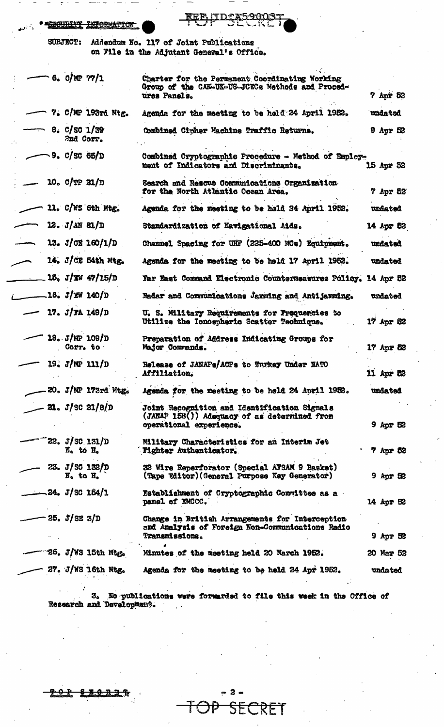| <b>I CORATTOPAN PURADILLERANE</b> |
|-----------------------------------|
| <b>ASIARE TO PARTNALLION</b>      |

<u>IIDCA5</u> 900  ${\tt I\!E}{\tt E}$ 

**SUBJECT:** Addendum No. 117 of Joint Publications on File in the Adjutant General's Office.

| 6.0/NP 77/1                                              | Charter for the Permanent Coordinating Working<br>Group of the CAN-UK-US-JCECs Methods and Proced-<br>ures Panels.             | 7 Apr 52        |
|----------------------------------------------------------|--------------------------------------------------------------------------------------------------------------------------------|-----------------|
| 7. C/MP 193rd Mtg.                                       | Agenda for the meeting to be held 24 April 1952.                                                                               | undated         |
| 8. C/SC 1/39<br>2nd Corr.                                | Combined Cipher Machine Traffic Returns.                                                                                       | $9$ Apr $52$    |
| 9. C / SC 65 / D                                         | Combined Cryptographic Procedure - Method of Employ-<br>ment of Indicators and Discriminants.                                  | 15 Apr 52       |
| $10.$ C/TP $31/D$                                        | Search and Rescue Communications Organization<br>for the North Atlantic Ocean Area.                                            | 7 Apr 52        |
| 11. C/WS 6th Mtg.                                        | Agenda for the meeting to be hold 24 April 1952.                                                                               | undated         |
| 12. J/M 81/D                                             | Standardization of Navigational Aids.                                                                                          | 14 Apr 52       |
| 13. $J$ CE 160/1/D                                       | Channel Spacing for UHF (225-400 MCs) Equipment.                                                                               | undated         |
| 14. J/CE 54th Mtg.                                       | Agenda for the meeting to be held 17 April 1952.                                                                               | undated         |
| 15, J/KW 47/15/D                                         | Far East Command Electronic Counterneasures Policy. 14 Apr 52                                                                  |                 |
| .16. <i>J/W</i> 140/D                                    | Radar and Communications Jamming and Antijamming.                                                                              | undated         |
| 17. $J/RA$ 149/D                                         | U. S. Military Requirements for Frequencies to<br>Utilize the Ionospheric Scatter Technique.                                   | 17 Apr 52       |
| 18. J/MP 109/D<br>Corr. to                               | Preparation of Address Indicating Groups for<br>Major Commands.                                                                | 17 Apr 52       |
| 19. $J/MP$ 111/D                                         | Release of JANAPs/ACPs to Turkey Under NATO<br>Affiliation.                                                                    | 11 Apr 52       |
| 20. J/NP 173rd Mtg.                                      | Agenda for the meeting to be held 24 April 1952.                                                                               | undated         |
| $21. J/\text{SC} 21/8/D$                                 | <b>Joint Recognition and Identification Signals</b><br>(JARAP 158()) Adequacy of as determined from<br>operational experience. | <b>9 Apr 52</b> |
| $22. J / \text{SC}$ 131/D<br>$N0$ to $H0$                | Military Characteristics for an Interim Jet<br><b>Fighter Authenticator.</b>                                                   | 7 Apr 52        |
| 23. $J/SC$ 132/D<br>$\overline{N}_0$ to $\overline{H}_0$ | 32 Wire Reperforator (Special AFSAM 9 Basket)<br>(Tape Editor) (General Purpose Key Generator)                                 | $9$ Apr 52      |
| $-24. J/SC 164/1$                                        | Establishment of Cryptographic Committee as a<br>panel of EMCCC.                                                               | 14 Apr 52       |
| 25. J / SE 3/D                                           | Change in British Arrangements for Interception<br>and Analysis of Foreign Non-Communications Radio<br><b>Transmissions.</b>   | $9$ Apr $32$    |
| 26. J/WS 15th Mtg.                                       | Minutes of the meeting held 20 March 1952.                                                                                     | 20 Mar 52       |
| 27. J/WS 16th Mtg.                                       | Agenda for the meeting to be held 24 Apr 1952.                                                                                 | undated         |
|                                                          |                                                                                                                                |                 |

3. No publications were forwarded to file this week in the Office of Research and Development.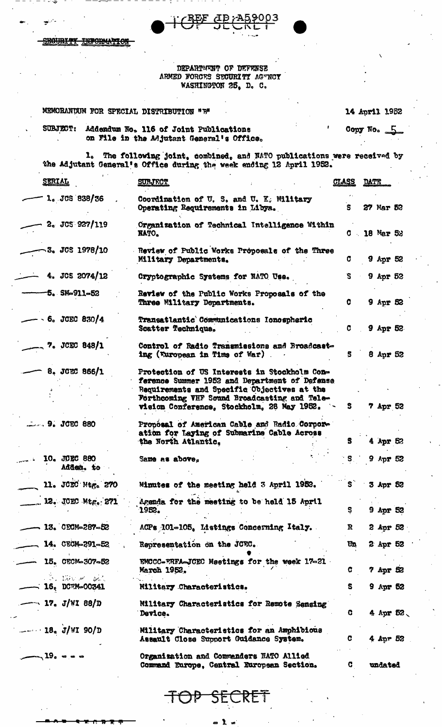**XOURX INFORMATION** 

> DEPARTMENT OF DEFENSE ARMED FORCES SECURITY AGENCY WASHINGTON 25, D. C.

 $\overline{AP}$  ; A

<u>59003</u>

# MEMORANDUM FOR SPECIAL DISTRIBUTION "B"

 $\mathbf{r}$ 

### 14 April 1952

SUBJECT: Addendum No. 116 of Joint Publications on File in the Adjutant General's Office.

1. The following joint, combined, and NATO publications were received by the Adjutant General's Office during the week ending 12 April 1952.

| <b>SERIAL</b>                        | <b>SURJECT</b>                                                                                                                                                                                                                             | <u>CTASS</u>            | DATE            |
|--------------------------------------|--------------------------------------------------------------------------------------------------------------------------------------------------------------------------------------------------------------------------------------------|-------------------------|-----------------|
| 1. JCS 838/36                        | Coordination of U.S. and U.K. Military<br>Operating Requirements in Libya.                                                                                                                                                                 | S.                      | 27 Mar 52       |
| 2. JCS 927/119                       | Organization of Technical Intelligence Within<br><b>NATO.</b>                                                                                                                                                                              |                         | $C = 18$ Mar 52 |
| ~3. JCS 1978/10                      | Review of Public Works Proposals of the Three<br>Military Departments.                                                                                                                                                                     | C.                      | $9$ Apr 52      |
| 4. JCS 2074/12                       | Cryptographic Systems for NATO Uss.                                                                                                                                                                                                        | S.                      | 9 Apr 52        |
| $-5.$ SM-911-52                      | Review of the Public Works Proposals of the<br>Three Military Departments.                                                                                                                                                                 | C.                      | 9 Apr 52        |
| $\sim 6.$ JCEC 830/4                 | Transatlantic Communications Ionospheric<br>Scatter Technique.                                                                                                                                                                             | C.                      | $9$ Apr 52.     |
| $, 7.$ JCEC 848/1                    | Control of Radio Transmissions and Broadcast-<br>ing (European in Time of War)                                                                                                                                                             | 5                       | 8 Apr 52        |
| $8. \, \text{JCEC} \, 866/1$         | Protection of US Interests in Stockholm Con-<br>ference Summer 1952 and Department of Defense<br>Requirements and Specific Objectives at the<br>Forthcoming VHF Sound Broadcasting and Tele-<br>vision Conference, Stockholm, 26 May 1952. | S.                      | 7 Apr 52        |
| $\sim$ 9. JCEC 880                   | Propósal of American Cable and Radio Corpor-<br>ation for Laying of Submarine Cable Across<br>the North Atlantic.                                                                                                                          | S.                      | 4 Apr 52        |
| 10. JOEC 880<br>Adden. to            | Same as above.                                                                                                                                                                                                                             | $^{\circ}$ S $_{\circ}$ | $9$ Apr 52      |
| 11. JCEC Mtg. 270                    | Minutes of the meeting held 3 April 1952.                                                                                                                                                                                                  |                         | 3 Apr 52        |
| . 12. JOEC Mtg. 271                  | Agenda for the meeting to be held 15 April<br>1952.                                                                                                                                                                                        | S.                      | 9 Apr 52        |
| 13. CECM-287-52                      | ACPs 101-105. Listings Concerning Italy.                                                                                                                                                                                                   | R                       | 2 Apr 52        |
| $14.$ CECM-291-52                    | Representation on the JCEC.                                                                                                                                                                                                                | Un                      | 2 Apr 52        |
| 15. CECM-307-52                      | EMCCC-FRFA-JCEC Meetings for the week 17-21<br>March 1952,                                                                                                                                                                                 | C.                      | $7$ Apr 52      |
| Search College<br>$-$ 16. DCEM-00341 | Military Characteristics.                                                                                                                                                                                                                  | s                       | 9 Apr 52        |
| $-$ 17. J/WI 88/D                    | Military Characteristics for Remote Senging<br>Device.                                                                                                                                                                                     | C                       | 4 Apr 52.       |
| $  18$ J/WI 90/D                     | Military Characteristics for an Amphibious<br>Assault Close Support Guidance System.                                                                                                                                                       | C.                      | 4 Apr 52        |
| $-19.0000$                           | Organization and Commanders NATO Allied<br>Command Europe, Central European Section.                                                                                                                                                       | C.                      | undated         |

ı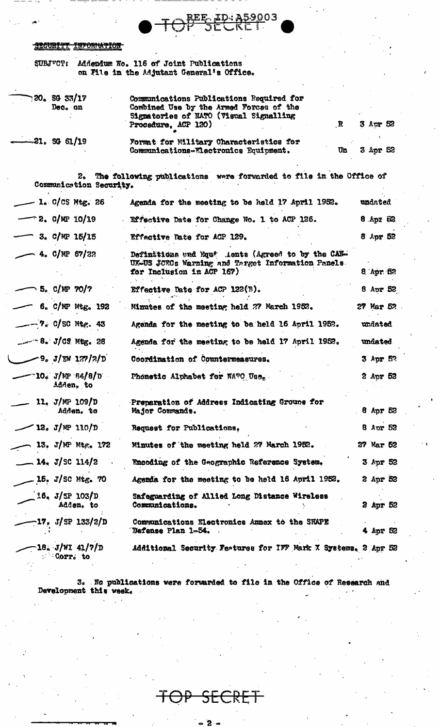#### **INFORMATION** <del>IRCURTYT</del>

|  | SUBJECT: Addendum No. 116 of Joint Publications |
|--|-------------------------------------------------|
|  | on File in the Adjutant General's Office.       |

| 720. SG 33/17<br>Dec. on              | Communications Publications Required for<br>Combined Use by the Armed Forces of the<br>Signatories of NATO (Visual Signalling<br>$\mathbf{R}$<br>Procedure, ACP 120) | 3 Apr 52            |
|---------------------------------------|----------------------------------------------------------------------------------------------------------------------------------------------------------------------|---------------------|
| $-21.$ SG 61/19                       | Format for Military Characteristics for<br>Communications-Electronics Equipment.<br>Un                                                                               | 3 Apr 52            |
| 2.<br>Communication Security.         | The following publications were forwarded to file in the Office of                                                                                                   |                     |
| $-$ 1. C/CS Mtg. 26                   | Agenda for the meeting to be held 17 April 1952.                                                                                                                     | undated             |
| $-$ 2. C/MP 10/19                     | Effective Date for Change No. 1 to ACP 126.                                                                                                                          | S3 xgA. 8           |
| $-$ 3. C/MP 15/15                     | Effective Date for ACP 129.                                                                                                                                          | 8 Apr 52            |
| $-4.$ C/NP 67/22                      | Definitions and Equipe lents (Agreed to by the CAN-<br>UK-US JORCs Warning and Target Information Panels.<br>for Inclusion in ACP 167)                               | $8 \text{ Apr } 52$ |
| 5. $C/NP$ 70/7                        | Effective Date for ACP $122(B)$ .                                                                                                                                    | 8 Apr $52$          |
| $-$ 6. C/NP Mtg. 192                  | Minutes of the meeting held 27 March 1952.                                                                                                                           | 27 Mar 52           |
| $-2$ $-2$ $\circ$ C/SC Mtg. 43        | Agenda for the meeting to be held 16 April 1952.                                                                                                                     | undated             |
| $-$ 8. J/C9 Mtg. 28                   | Agenda for the meeting to be held 17 April 1952.                                                                                                                     | undated.            |
| $-9.3$ /EW 127/2/D                    | Coordination of Countermeasures.                                                                                                                                     | 3 Apr 52            |
| - 10. J/MP 84/8/D<br>Adden, to        | Phonetic Alphabet for NATO Uses                                                                                                                                      | 2 Apr 52            |
| 11. $J/MP$ 109/D<br>Adden. to         | Preparation of Address Indicating Grouns for<br>Major Commands.                                                                                                      | 8 Apr $52$          |
| $-12. J/\Psi 110/D$                   | Request for Publications.                                                                                                                                            | 8 Apr 52            |
| 13. J/MP Mtg. $172$                   | Minutes of the meeting held 27 March 1952.                                                                                                                           | 27 Mar 52           |
| $-14. J/SC 114/2$                     | Encoding of the Geographic Reference System.                                                                                                                         | 3 Apr 52            |
| $-15.$ J/SC Mtg. 70                   | Agenda for the meeting to be held 16 April 1952.                                                                                                                     | 2 Apr 52            |
| $1.6.$ J/SP 103/D<br>Adden, to        | Safeguarding of Allied Long Distance Wireless<br>Communications.                                                                                                     | 2 Apr 52            |
| —17. J/SP 133/2/D                     | Communications Electronics Annex to the SHAPE<br>Defense Plan 1-54.                                                                                                  | 4 Apr 52            |
| $-18. J/WI 41/7/D$<br><b>Corr.</b> to | Additional Security Features for IFF Mark X Systems, 2 Apr 52                                                                                                        |                     |

ID: A59003

REE

3. No publications were forwarded to file in the Office of Research and Development this week.

╉ SECRI 尹

 $-2-$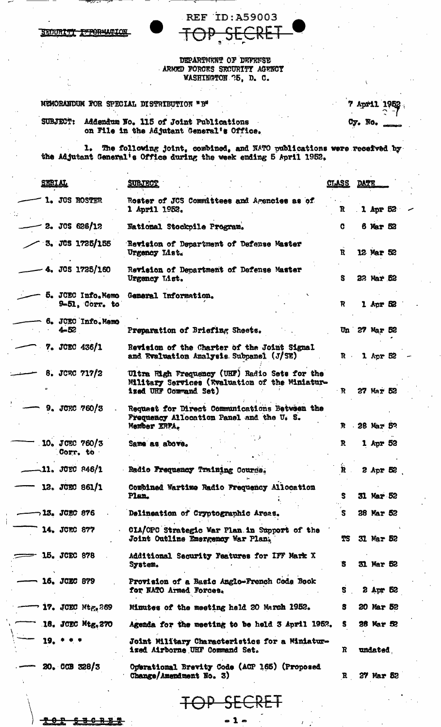**REF ID:A59003** <u>ARET</u> TOP

DEPARTMENT OF DEFENSE ARMED FORCES SECURITY AGENCY WASHINGTON 75, D. C.

MEMORANDUM FOR SPECIAL DISTRIBUTION "B"

SECURITY INFORMATION

|  |         | 7 April 1952    |
|--|---------|-----------------|
|  | Cy. No. | <b>CONTRACT</b> |

Addendum No. 115 of Joint Publications<br>on File in the Adjutant General's Office. SUBJECT:

1. The following joint, combined, and NATO publications were received by the Adjutant General's Office during the week ending 5 April 1952.

| <b>SERIAL</b>                  | <b>SUBJECT</b>                                                                                                           | <u>CTASS</u> | <b>DATE</b> |                  |  |
|--------------------------------|--------------------------------------------------------------------------------------------------------------------------|--------------|-------------|------------------|--|
| 1. JOS ROSTER                  | Roster of JCS Committees and Agencies as of<br>1 April 1952.                                                             | R            |             | $1$ Apr $52$     |  |
| $2.$ JCS 626/12                | National Stockpile Program.                                                                                              | G            |             | 6 Mar 52         |  |
| 3. JCS 1725/155                | Revision of Department of Defense Master<br>Urgency List.                                                                | R            |             | 12 Mar 52        |  |
| 4. JOS 1725/160                | Revision of Department of Defense Master<br>Urgency List.                                                                | S            |             | 22 Mar 52        |  |
| 9-51, Corr. to                 | 5. JCEC Info.Memo General Information.                                                                                   | R            |             | $1$ Apr $62$     |  |
| 6. JCEC Info. Memo<br>$4 - 52$ | Preparation of Briefing Sheets.                                                                                          |              |             | Un 27 Mar 52     |  |
| 7. JCEC 436/1                  | Revision of the Charter of the Joint Signal<br>and Evaluation Analysis Subpanel (J/SE)                                   | $\mathbf{R}$ |             | 1 Apr $52$       |  |
| 8. JCRC $717/2$                | Ultra High Frequency (UHF) Radio Sets for the<br>Military Services (Wealuation of the Miniatur-<br>ized UHF Commund Set) | $\mathbf{R}$ |             | 27 Mar 52        |  |
| 9. JCEC 760/3                  | Request for Direct Communications Between the<br>Frequency Allocation Panel and the U. S.<br>Member ERFA.                |              |             | R . 28 Mar 5?    |  |
| 10. JOEC 760/3<br>Corr. to     | Same as above.                                                                                                           | $\mathbf{R}$ |             | 1 Apr 52         |  |
| $-11.$ JCEC 846/1              | Radio Frequency Training Course.                                                                                         | Ř            |             | $2$ Apr $52$     |  |
| 12. JCEC 861/1                 | Combined Wartime Radio Frequency Allocation<br>Plan.                                                                     | s            |             | <b>31 Mar 52</b> |  |
| ¬13. JCEC 876                  | Delineation of Cryptographic Areas.                                                                                      | S.           |             | 28 Mar 52        |  |
| 14. JCEC 877                   | CIA/OPC Strategic War Plan in Support of the<br>Joint Outline Emergency War Plan.                                        | TS           |             | 31 Mar 52        |  |
| $\equiv$ 15. JCEC 878          | Additional Security Features for IFF Mark X<br>System.                                                                   | `S           |             | 31 Mar 52        |  |
| 16. JCEC 879                   | Provision of a Basic Anglo-French Code Book<br>for NATO Armed Forces.                                                    | s            |             | $2$ Apr 52       |  |
| <b>17. JCEC Mtg.269</b>        | Minutes of the meeting held 20 March 1952.                                                                               | s            |             | 20 Mar 52        |  |
| 18. JCEC Mtg.270               | Agenda for the meeting to be held 3 April 1952.                                                                          | S.           |             | 28 Mar 52        |  |
| $19. * * *$                    | Joint Military Characteristics for a Miniatur-<br>ized Airborne UHF Command Set.                                         | R            |             | undated.         |  |
| 20.009328/3                    | Operational Brevity Code (ACP 165) (Proposed<br>Change/Amendment No. 3)                                                  | $\mathbf{R}$ |             | <b>27 Mar 52</b> |  |
|                                | P SECRET                                                                                                                 |              |             |                  |  |

<del>경 6</del> -8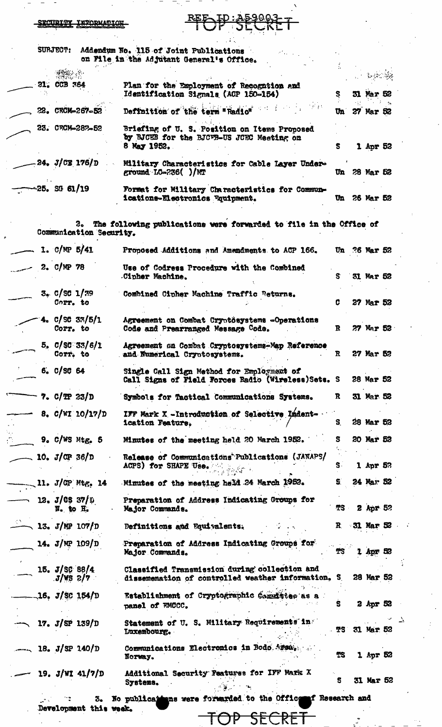#### SECURITY INFORMATION SUBJECT: Addendum No. 115 of Joint Publications on File in the Adjutant General's Office. જે સંવ 21. CCB 764 Plan for the Employment of Recognition and Identification Signals (ACP 150-154) Ş 31 Mar 52 Definition of the term "Radio"  $\mathcal{H}$  pr 22. CECM-267-52 27 Mar 52  $\mathbf{u}$ 23. CRCM-287-52 Briefing of U. S. Position on Items Proposed by BJCEB for the BJCVB-US JCEC Meeting on 8 May 1952. 1 Apr 52  $\mathbf{s}$ 24. J/CX 176/D Military Characteristics for Cable Layer Underground  $LC = 236$   $\frac{\text{N}}{\text{T}}$ Un 28 Mar 52 -25, SG 61/19 Formet for Military Characteristics for Commun-Un 26 Mar 52 ications-Electronics Equipment.  $2^{\circ}$ The following publications were forwarded to file in the Office of Communication Security. 1.  $C/MP$  5/41 Proposed Additions and Amendments to ACP 166. Un 26 Mar 52 Use of Codress Procedure with the Combined 2.  $C/MP$  78 Cipher Machine. 31 Mar 52 S  $3e$  C/SC 1/39 Combined Cipher Machine Traffic Returns. Corr. to C 27 Mar 52  $C/SC$  33/5/1 Agreement on Combat Cryotösystems -Operations  $\mathbf R$ 27 Mar 52 Corr. to Code and Prearranged Message Code.  $5. C/SC 33/6/1$ Agreement on Combat Cryptosystems-Map Reference Corr. to and Numerical Cryptosystems. R 27 Mar 52 6. C/SC 64 Single Call Sign Method for Employment of 28 Mar 52 Call Signs of Field Forces Radio (Wireless) Sets. S 7.  $C/TP$  23/D  $\mathbf{R}$ 31 Mar 52 Symbols for Tactical Communications Systems. 8.  $C/NT 10/17/D$ IFF Mark X -Introduction of Selective Ladentication Feature. S. 28 Mar 52  $9.$  C/WS Mtg. 5 S 20 Mar 52 Minutes of the meeting held 20 March 1952. 10.  $J/\text{CP } 36/\text{D}$ Release of Communications Publications (JANAPS/ ACPS) for SHAPE Use.  $\mathbf{s}$ 1 Apr 5?  $\mathcal{I} \cup \mathcal{I} \subset \mathcal{I}$ Minutes of the meeting held 24 March 1952. S 24 Mar 52 11.  $J/CP$  Mtg. 14 12. J/CS 37/D Preparation of Address Indicating Groups for TS N. to H. Major Commands.  $2$  Apr 52 、13. J/MP 107/D  $\mathbf R$ 31 Mar 52 Definitions and Equivalents. Preparation of Address Indicating Groups for 14.  $J/MP$  109/D **TS** Major Commands. 1 Apr 52 15.  $J/SC$  88/4 Classified Transmission during collection and dissemenation of controlled weather information. S 28 Mar 52  $J/WS$  2/7 Establishment of Cryptographic Commistee as a **16. J/SC 154/D** Ś 2 Apr 52 panel of FMCCC. Statement of U. S. Military Requirements in 17.  $J/SP$  139/D Luxembourg. TS 31 Mar 52 Communications Electronics in Bodo Arsa.  $-$  18. J/SP 140/D 1 Apr 52 TS Norway. Additional Security Features for IFF Mark X 19.  $J/WI$  41/7/D **31 Mar 52** S Systems.  $\sim$   $\approx$  $\sim$

No publications were forwarded to the Office **nf** Research and 3. Development this week.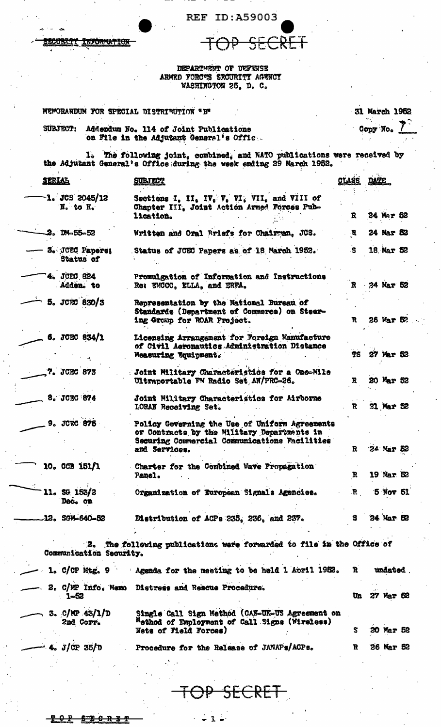REF ID:A59003

 $\partial P$ 

SECRET

CURTI INFORMATION

DEPARTMENT OF DEFENSE<br>ARMED FORCTS SECURITY AGENCY<br>WASHINGTON 25, D. C.

| SUBJECT:                      | Addendum No. 114 of Joint Publications<br>on File in the Adjutant General's Offic.                                                                              |                   | Copy No.   |
|-------------------------------|-----------------------------------------------------------------------------------------------------------------------------------------------------------------|-------------------|------------|
|                               | 1. The following joint, combined, and WATO publications were received by<br>the Adjutant General's Office during the week ending 29 March 1952.                 |                   |            |
| SERIAL                        | <b>SUBJECT</b>                                                                                                                                                  | <u>CLASS</u> DATE |            |
| $-1.$ JCS 2045/12<br>N. to H. | Sections I, II, IV, V, VI, VII, and VIII of<br>Chapter III, Joint Action Armed Forces Pub-<br>lication.                                                         | R.                | 24 Mar 52  |
| $2.$ DM-55-52                 | Written and Oral Briefs for Chairman, JCS.                                                                                                                      | R                 | 24 Mar 52  |
| 3. JCEC Paperes<br>Status of  | Status of JCEC Papers as of 18 March 1952.                                                                                                                      | $\cdot$ S         | 18 Mar 52  |
| 4. JCEC 824<br>Adden. to      | Promulgation of Information and Instructions<br>Re: EMCCC, ELLA, and ERFA.                                                                                      | $\mathbf{R}$      | 24 Mar 52  |
| 5. JCRC 830/3                 | Representation by the National Bureau of<br>Standards (Department of Commerce) on Steer-<br>ing Group for ROAR Project.                                         | R                 | 26 Mar 52  |
| 6. JCEC 834/1                 | Licensing Arrangement for Foreign Manufacture<br>of Civil Aeronautics Administration Distance<br>Measuring Equipment.                                           | TS.               | 27 Mar 52  |
| 7. JCEC 873                   | : Joint Military Characteristics for a One-Mile<br>Ultraportable FM Radio Set AN/PRC-26.                                                                        | R                 | 20 Mar 52  |
| 8. JCEC 874                   | Joint Military Characteristics for Airborne<br>LORAN Receiving Set.                                                                                             | R.                | 31 Mar 52  |
| <b>9. JORC 875</b>            | Policy Governing the Use of Uniform Agreements<br>or Contracts by the Military Departments in<br>Securing Commercial Communications Facilities<br>and Services. | $\mathbf{R}$      | 24 Mar 52  |
| 10. CCB 151/1                 | Charter for the Combined Wave Propagation<br>Panel.                                                                                                             | R                 | 19 Mar. 52 |
| 11, SG 153/2<br>Dec. on       | Organization of European Signals Agencies.                                                                                                                      | $\mathbf{R}$      | 5 Nov 51   |
| $12.$ SGM-640-52              | Distribution of ACPs 235, 236, and 237.                                                                                                                         | s.                | 24 Mar 52  |
| Communication Security.       | 2. The following publications were forwarded to file in the Office of                                                                                           |                   |            |
| $1.$ C/CP Mtg. 9              | Agenda for the meeting to be held 1 April 1952.                                                                                                                 | R                 | undated.   |
| 1-52                          | 2. C/MP Info. Memo Distress and Rescue Procedure.                                                                                                               | Un                | 27 Mar 52  |
| 3. $C/MP$ 43/1/D<br>2nd Corr. | Single Call Sign Method (CAN-UK-US Agreement on<br>Method of Employment of Call Signs (Wireless)<br>Nets of Field Forces)                                       | S                 | 20 Mar 52  |
|                               |                                                                                                                                                                 |                   |            |

SECRET

 $-1 -$ 

 $8T + 0$ ₽